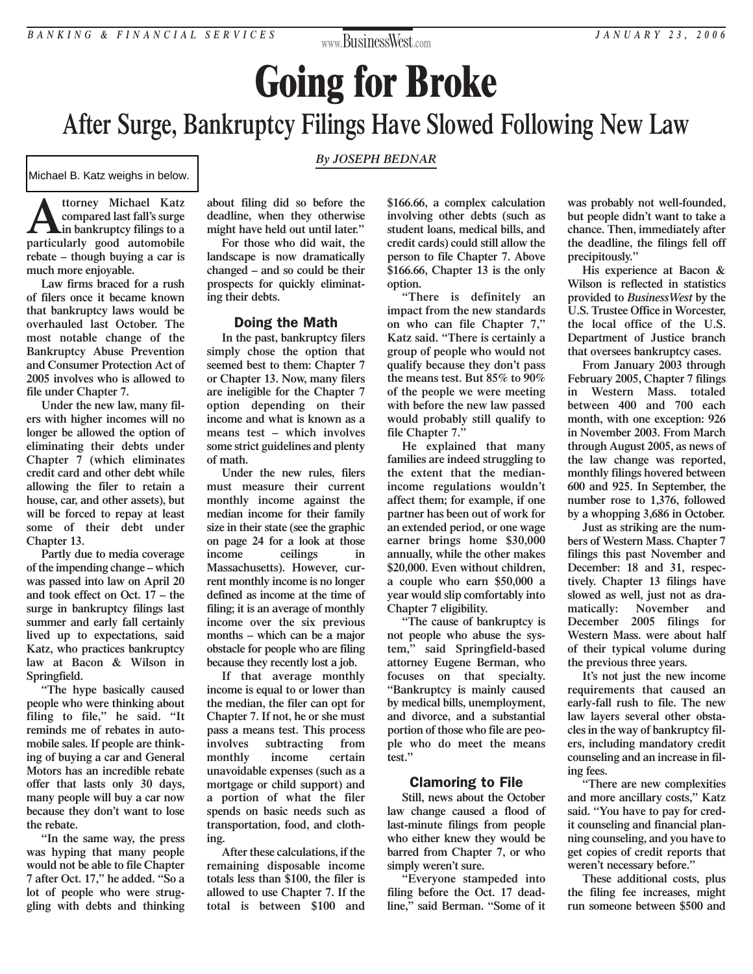## **www.**BusinessWest**.com**

# **Going for Broke After Surge, Bankruptcy Filings Have Slowed Following New Law**

*By JOSEPH BEDNAR*

Michael B. Katz weighs in below.

**A** ttorney Michael Katz<br> **in bankruptcy filings to a**<br> **particularly** good automobile **compared last fall's surge particularly good automobile rebate – though buying a car is much more enjoyable.**

**Law firms braced for a rush of filers once it became known that bankruptcy laws would be overhauled last October. The most notable change of the Bankruptcy Abuse Prevention and Consumer Protection Act of 2005 involves who is allowed to file under Chapter 7.**

**Under the new law, many filers with higher incomes will no longer be allowed the option of eliminating their debts under Chapter 7 (which eliminates credit card and other debt while allowing the filer to retain a house, car, and other assets), but will be forced to repay at least some of their debt under Chapter 13.**

**Partly due to media coverage of the impending change – which was passed into law on April 20 and took effect on Oct. 17 – the surge in bankruptcy filings last [summer and early fall certainly](http://www.bacon-wilson.com/attorney_directory_detail.epl?attorney_id=20) lived up to expectations, said Katz, who practices bankruptcy law at Bacon & Wilson in Springfield.**

**"The hype basically caused people who were thinking about filing to file," he said. "It reminds me of rebates in automobile sales. If people are thinking of buying a car and General Motors has an incredible rebate offer that lasts only 30 days, many people will buy a car now because they don't want to lose the rebate.**

**"In the same way, the press was hyping that many people would not be able to file Chapter 7 after Oct. 17," he added. "So a lot of people who were struggling with debts and thinking**

**about filing did so before the deadline, when they otherwise might have held out until later."**

**For those who did wait, the landscape is now dramatically changed – and so could be their prospects for quickly eliminating their debts.**

#### Doing the Math

**In the past, bankruptcy filers simply chose the option that seemed best to them: Chapter 7 or Chapter 13. Now, many filers are ineligible for the Chapter 7 option depending on their income and what is known as a means test – which involves some strict guidelines and plenty of math.**

**Under the new rules, filers must measure their current monthly income against the median income for their family size in their state (see the graphic on page 24 for a look at those income ceilings in Massachusetts). However, current monthly income is no longer defined as income at the time of filing; it is an average of monthly income over the six previous months – which can be a major obstacle for people who are filing because they recently lost a job.**

**If that average monthly income is equal to or lower than the median, the filer can opt for Chapter 7. If not, he or she must pass a means test. This process involves subtracting from monthly income certain unavoidable expenses (such as a mortgage or child support) and a portion of what the filer spends on basic needs such as transportation, food, and clothing.**

**After these calculations, if the remaining disposable income totals less than \$100, the filer is allowed to use Chapter 7. If the total is between \$100 and**

**\$166.66, a complex calculation involving other debts (such as student loans, medical bills, and credit cards) could still allow the person to file Chapter 7. Above \$166.66, Chapter 13 is the only option.**

**"There is definitely an impact from the new standards on who can file Chapter 7," Katz said. "There is certainly a group of people who would not qualify because they don't pass the means test. But 85% to 90% of the people we were meeting with before the new law passed would probably still qualify to file Chapter 7."**

**He explained that many families are indeed struggling to the extent that the medianincome regulations wouldn't affect them; for example, if one partner has been out of work for an extended period, or one wage earner brings home \$30,000 annually, while the other makes \$20,000. Even without children, a couple who earn \$50,000 a year would slip comfortably into Chapter 7 eligibility.**

**"The cause of bankruptcy is not people who abuse the system," said Springfield-based attorney Eugene Berman, who focuses on that specialty. "Bankruptcy is mainly caused by medical bills, unemployment, and divorce, and a substantial portion of those who file are people who do meet the means test."**

### Clamoring to File

**Still, news about the October law change caused a flood of last-minute filings from people who either knew they would be barred from Chapter 7, or who simply weren't sure.**

**"Everyone stampeded into filing before the Oct. 17 deadline," said Berman. "Some of it**

**was probably not well-founded, but people didn't want to take a chance. Then, immediately after the deadline, the filings fell off precipitously."**

**His experience at Bacon & Wilson is reflected in statistics provided to** *BusinessWest* **by the U.S. Trustee Office in Worcester, the local office of the U.S. Department of Justice branch that oversees bankruptcy cases.**

**From January 2003 through February 2005, Chapter 7 filings in Western Mass. totaled between 400 and 700 each month, with one exception: 926 in November 2003. From March through August 2005, as news of the law change was reported, monthly filings hovered between 600 and 925. In September, the number rose to 1,376, followed by a whopping 3,686 in October.**

**Just as striking are the numbers of Western Mass. Chapter 7 filings this past November and December: 18 and 31, respectively. Chapter 13 filings have slowed as well, just not as dramatically: November and December 2005 filings for Western Mass. were about half of their typical volume during the previous three years.**

**It's not just the new income requirements that caused an early-fall rush to file. The new law layers several other obstacles in the way of bankruptcy filers, including mandatory credit counseling and an increase in filing fees.**

**"There are new complexities and more ancillary costs," Katz said. "You have to pay for credit counseling and financial planning counseling, and you have to get copies of credit reports that weren't necessary before."**

**These additional costs, plus the filing fee increases, might run someone between \$500 and**